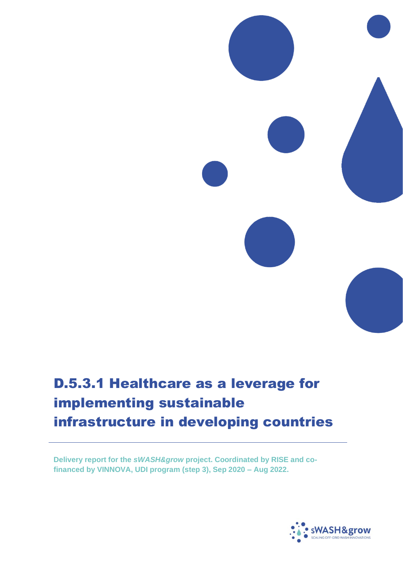# D.5.3.1 Healthcare as a leverage for implementing sustainable infrastructure in developing countries

**Delivery report for the** *sWASH&grow* **project. Coordinated by RISE and cofinanced by VINNOVA, UDI program (step 3), Sep 2020 – Aug 2022.**

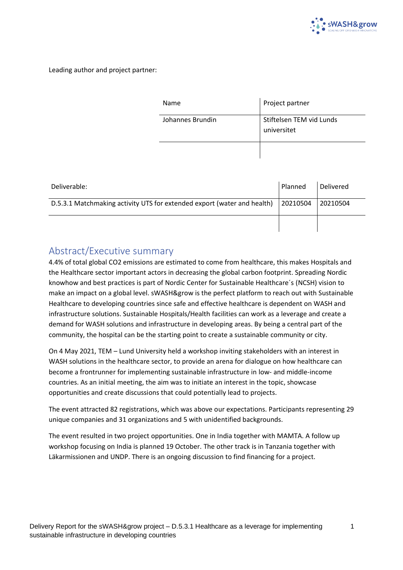

Leading author and project partner:

| Name             | Project partner                         |
|------------------|-----------------------------------------|
| Johannes Brundin | Stiftelsen TEM vid Lunds<br>universitet |
|                  |                                         |

| Deliverable:                                                                          | Planned | Delivered |
|---------------------------------------------------------------------------------------|---------|-----------|
| D.5.3.1 Matchmaking activity UTS for extended export (water and health)<br>  20210504 |         | 20210504  |
|                                                                                       |         |           |

#### <span id="page-1-0"></span>Abstract/Executive summary

4.4% of total global CO2 emissions are estimated to come from healthcare, this makes Hospitals and the Healthcare sector important actors in decreasing the global carbon footprint. Spreading Nordic knowhow and best practices is part of Nordic Center for Sustainable Healthcare´s (NCSH) vision to make an impact on a global level. sWASH&grow is the perfect platform to reach out with Sustainable Healthcare to developing countries since safe and effective healthcare is dependent on WASH and infrastructure solutions. Sustainable Hospitals/Health facilities can work as a leverage and create a demand for WASH solutions and infrastructure in developing areas. By being a central part of the community, the hospital can be the starting point to create a sustainable community or city.

On 4 May 2021, TEM – Lund University held a workshop inviting stakeholders with an interest in WASH solutions in the healthcare sector, to provide an arena for dialogue on how healthcare can become a frontrunner for implementing sustainable infrastructure in low- and middle-income countries. As an initial meeting, the aim was to initiate an interest in the topic, showcase opportunities and create discussions that could potentially lead to projects.

The event attracted 82 registrations, which was above our expectations. Participants representing 29 unique companies and 31 organizations and 5 with unidentified backgrounds.

The event resulted in two project opportunities. One in India together with MAMTA. A follow up workshop focusing on India is planned 19 October. The other track is in Tanzania together with Läkarmissionen and UNDP. There is an ongoing discussion to find financing for a project.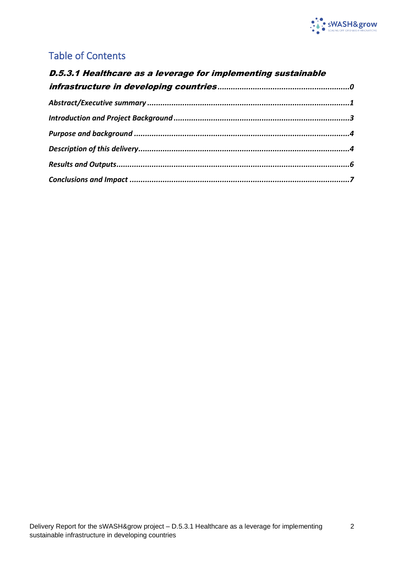

# Table of Contents

| D.5.3.1 Healthcare as a leverage for implementing sustainable |  |  |  |
|---------------------------------------------------------------|--|--|--|
|                                                               |  |  |  |
|                                                               |  |  |  |
|                                                               |  |  |  |
|                                                               |  |  |  |
|                                                               |  |  |  |
|                                                               |  |  |  |
|                                                               |  |  |  |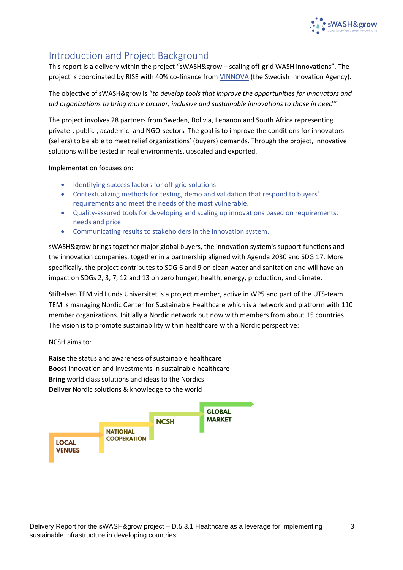

### <span id="page-3-0"></span>Introduction and Project Background

This report is a delivery within the project "sWASH&grow – scaling off-grid WASH innovations". The project is coordinated by RISE with 40% co-finance from [VINNOVA](https://www.vinnova.se/en/p/from-dread-to-bread-in-humanitarian-crisis/) (the Swedish Innovation Agency).

The objective of sWASH&grow is "*to develop tools that improve the opportunities for innovators and aid organizations to bring more circular, inclusive and sustainable innovations to those in need".*

The project involves 28 partners from Sweden, Bolivia, Lebanon and South Africa representing private-, public-, academic- and NGO-sectors*.* The goal is to improve the conditions for innovators (sellers) to be able to meet relief organizations' (buyers) demands. Through the project, innovative solutions will be tested in real environments, upscaled and exported.

Implementation focuses on:

- Identifying success factors for off-grid solutions.
- Contextualizing methods for testing, demo and validation that respond to buyers' requirements and meet the needs of the most vulnerable.
- Quality-assured tools for developing and scaling up innovations based on requirements, needs and price.
- Communicating results to stakeholders in the innovation system.

sWASH&grow brings together major global buyers, the innovation system's support functions and the innovation companies, together in a partnership aligned with Agenda 2030 and SDG 17. More specifically, the project contributes to SDG 6 and 9 on clean water and sanitation and will have an impact on SDGs 2, 3, 7, 12 and 13 on zero hunger, health, energy, production, and climate.

Stiftelsen TEM vid Lunds Universitet is a project member, active in WP5 and part of the UTS-team. TEM is managing Nordic Center for Sustainable Healthcare which is a network and platform with 110 member organizations. Initially a Nordic network but now with members from about 15 countries. The vision is to promote sustainability within healthcare with a Nordic perspective:

NCSH aims to:

**Raise** the status and awareness of sustainable healthcare **Boost** innovation and investments in sustainable healthcare **Bring** world class solutions and ideas to the Nordics **Deliver** Nordic solutions & knowledge to the world

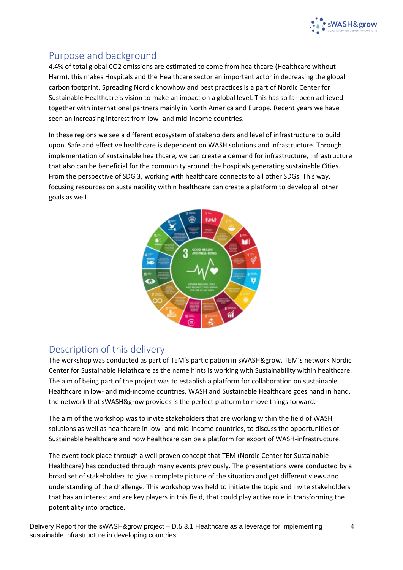

#### <span id="page-4-0"></span>Purpose and background

4.4% of total global CO2 emissions are estimated to come from healthcare (Healthcare without Harm), this makes Hospitals and the Healthcare sector an important actor in decreasing the global carbon footprint. Spreading Nordic knowhow and best practices is a part of Nordic Center for Sustainable Healthcare´s vision to make an impact on a global level. This has so far been achieved together with international partners mainly in North America and Europe. Recent years we have seen an increasing interest from low- and mid-income countries.

In these regions we see a different ecosystem of stakeholders and level of infrastructure to build upon. Safe and effective healthcare is dependent on WASH solutions and infrastructure. Through implementation of sustainable healthcare, we can create a demand for infrastructure, infrastructure that also can be beneficial for the community around the hospitals generating sustainable Cities. From the perspective of SDG 3, working with healthcare connects to all other SDGs. This way, focusing resources on sustainability within healthcare can create a platform to develop all other goals as well.



#### <span id="page-4-1"></span>Description of this delivery

The workshop was conducted as part of TEM's participation in sWASH&grow. TEM's network Nordic Center for Sustainable Helathcare as the name hints is working with Sustainability within healthcare. The aim of being part of the project was to establish a platform for collaboration on sustainable Healthcare in low- and mid-income countries. WASH and Sustainable Healthcare goes hand in hand, the network that sWASH&grow provides is the perfect platform to move things forward.

The aim of the workshop was to invite stakeholders that are working within the field of WASH solutions as well as healthcare in low- and mid-income countries, to discuss the opportunities of Sustainable healthcare and how healthcare can be a platform for export of WASH-infrastructure.

The event took place through a well proven concept that TEM (Nordic Center for Sustainable Healthcare) has conducted through many events previously. The presentations were conducted by a broad set of stakeholders to give a complete picture of the situation and get different views and understanding of the challenge. This workshop was held to initiate the topic and invite stakeholders that has an interest and are key players in this field, that could play active role in transforming the potentiality into practice.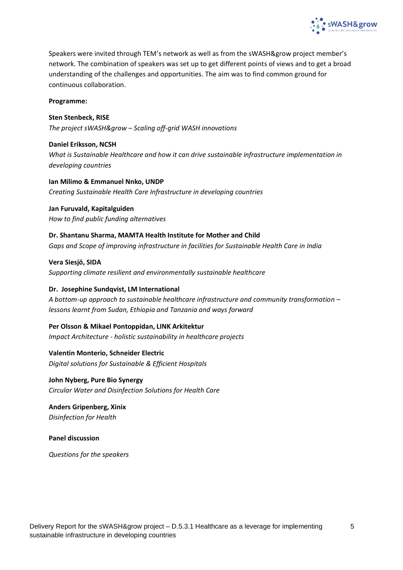

Speakers were invited through TEM's network as well as from the sWASH&grow project member's network. The combination of speakers was set up to get different points of views and to get a broad understanding of the challenges and opportunities. The aim was to find common ground for continuous collaboration.

**Programme:**

**Sten Stenbeck, RISE**

*The project sWASH&grow – Scaling off-grid WASH innovations*

**Daniel Eriksson, NCSH** *What is Sustainable Healthcare and how it can drive sustainable infrastructure implementation in developing countries*

**Ian Milimo & Emmanuel Nnko, UNDP** *Creating Sustainable Health Care Infrastructure in developing countries*

**Jan Furuvald, Kapitalguiden** *How to find public funding alternatives*

**Dr. Shantanu Sharma, MAMTA Health Institute for Mother and Child** *Gaps and Scope of improving infrastructure in facilities for Sustainable Health Care in India*

**Vera Siesjö, SIDA** *Supporting climate resilient and environmentally sustainable healthcare*

#### **Dr. Josephine Sundqvist, LM International**

*A bottom-up approach to sustainable healthcare infrastructure and community transformation – lessons learnt from Sudan, Ethiopia and Tanzania and ways forward*

**Per Olsson & Mikael Pontoppidan, LINK Arkitektur** *Impact Architecture - holistic sustainability in healthcare projects*

**Valentin Monterio, Schneider Electric** *Digital solutions for Sustainable & Efficient Hospitals*

**John Nyberg, Pure Bio Synergy** *Circular Water and Disinfection Solutions for Health Care*

**Anders Gripenberg, Xinix** *Disinfection for Health*

**Panel discussion**

*Questions for the speakers*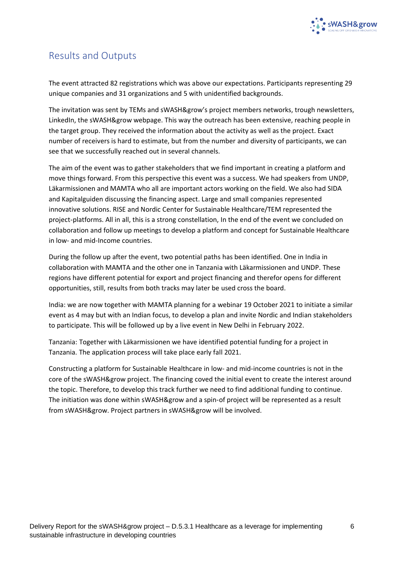

#### <span id="page-6-0"></span>Results and Outputs

The event attracted 82 registrations which was above our expectations. Participants representing 29 unique companies and 31 organizations and 5 with unidentified backgrounds.

The invitation was sent by TEMs and sWASH&grow's project members networks, trough newsletters, LinkedIn, the sWASH&grow webpage. This way the outreach has been extensive, reaching people in the target group. They received the information about the activity as well as the project. Exact number of receivers is hard to estimate, but from the number and diversity of participants, we can see that we successfully reached out in several channels.

The aim of the event was to gather stakeholders that we find important in creating a platform and move things forward. From this perspective this event was a success. We had speakers from UNDP, Läkarmissionen and MAMTA who all are important actors working on the field. We also had SIDA and Kapitalguiden discussing the financing aspect. Large and small companies represented innovative solutions. RISE and Nordic Center for Sustainable Healthcare/TEM represented the project-platforms. All in all, this is a strong constellation, In the end of the event we concluded on collaboration and follow up meetings to develop a platform and concept for Sustainable Healthcare in low- and mid-Income countries.

During the follow up after the event, two potential paths has been identified. One in India in collaboration with MAMTA and the other one in Tanzania with Läkarmissionen and UNDP. These regions have different potential for export and project financing and therefor opens for different opportunities, still, results from both tracks may later be used cross the board.

India: we are now together with MAMTA planning for a webinar 19 October 2021 to initiate a similar event as 4 may but with an Indian focus, to develop a plan and invite Nordic and Indian stakeholders to participate. This will be followed up by a live event in New Delhi in February 2022.

Tanzania: Together with Läkarmissionen we have identified potential funding for a project in Tanzania. The application process will take place early fall 2021.

Constructing a platform for Sustainable Healthcare in low- and mid-income countries is not in the core of the sWASH&grow project. The financing coved the initial event to create the interest around the topic. Therefore, to develop this track further we need to find additional funding to continue. The initiation was done within sWASH&grow and a spin-of project will be represented as a result from sWASH&grow. Project partners in sWASH&grow will be involved.